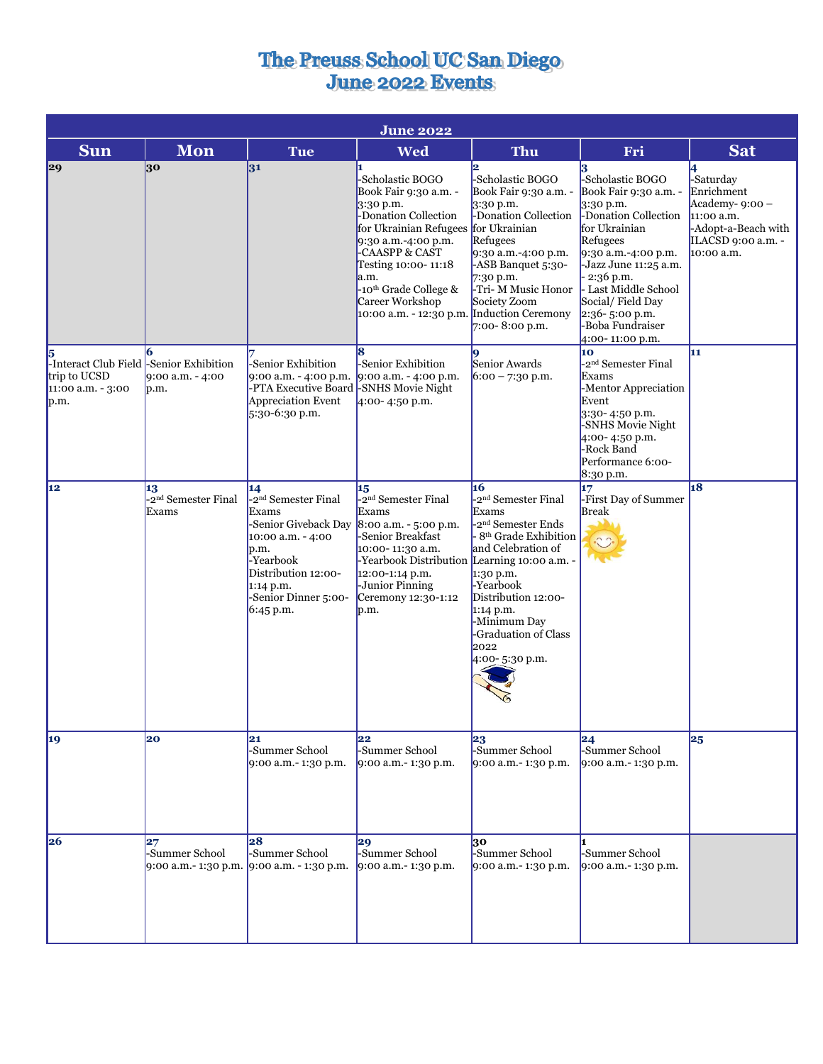## The Preuss School UC San Diego<br>June 2022 Events

| <b>June 2022</b>                                                                          |                                                |                                                                                                                                                                                             |                                                                                                                                                                                                                                                                                                        |                                                                                                                                                                                                                                                                              |                                                                                                                                                                                                                                                                                           |                                                                                                                            |
|-------------------------------------------------------------------------------------------|------------------------------------------------|---------------------------------------------------------------------------------------------------------------------------------------------------------------------------------------------|--------------------------------------------------------------------------------------------------------------------------------------------------------------------------------------------------------------------------------------------------------------------------------------------------------|------------------------------------------------------------------------------------------------------------------------------------------------------------------------------------------------------------------------------------------------------------------------------|-------------------------------------------------------------------------------------------------------------------------------------------------------------------------------------------------------------------------------------------------------------------------------------------|----------------------------------------------------------------------------------------------------------------------------|
| <b>Sun</b>                                                                                | <b>Mon</b>                                     | Tue                                                                                                                                                                                         | <b>Wed</b>                                                                                                                                                                                                                                                                                             | <b>Thu</b>                                                                                                                                                                                                                                                                   | Fri                                                                                                                                                                                                                                                                                       | <b>Sat</b>                                                                                                                 |
| 29                                                                                        | 30                                             | 31                                                                                                                                                                                          | -Scholastic BOGO<br>Book Fair 9:30 a.m. -<br>$3:30$ p.m.<br>-Donation Collection<br>for Ukrainian Refugees for Ukrainian<br>9:30 a.m.-4:00 p.m.<br>-CAASPP & CAST<br>Testing 10:00-11:18<br>a.m.<br>-10 <sup>th</sup> Grade College &<br>Career Workshop<br>10:00 a.m. - 12:30 p.m. Induction Ceremony | -Scholastic BOGO<br>Book Fair 9:30 a.m. -<br>$3:30$ p.m.<br>-Donation Collection<br>Refugees<br>9:30 a.m.-4:00 p.m.<br>-ASB Banquet 5:30-<br>$7:30$ p.m.<br>-Tri- M Music Honor<br>Society Zoom<br>$7:00 - 8:00$ p.m.                                                        | 3<br>-Scholastic BOGO<br>Book Fair 9:30 a.m. -<br>3:30 p.m.<br>-Donation Collection<br>for Ukrainian<br>Refugees<br>9:30 a.m.-4:00 p.m.<br>-Jazz June 11:25 a.m.<br>$-2:36$ p.m.<br>- Last Middle School<br>Social/Field Day<br>$2:36 - 5:00$ p.m.<br>-Boba Fundraiser<br>4:00-11:00 p.m. | 4<br>-Saturday<br>Enrichment<br>Academy- $9:00 -$<br>11:00 a.m.<br>-Adopt-a-Beach with<br>ILACSD 9:00 a.m. -<br>10:00 a.m. |
| 5<br>-Interact Club Field -Senior Exhibition<br>trip to UCSD<br>11:00 a.m. - 3:00<br>p.m. | $9:00$ a.m. $-4:00$<br>p.m.                    | -Senior Exhibition<br>9:00 a.m. - 4:00 p.m.<br>-PTA Executive Board -SNHS Movie Night<br>Appreciation Event<br>$5:30-6:30$ p.m.                                                             | 8<br>-Senior Exhibition<br>9:00 a.m. $-$ 4:00 p.m.<br>4:00-4:50 p.m.                                                                                                                                                                                                                                   | Senior Awards<br>$6:00 - 7:30$ p.m.                                                                                                                                                                                                                                          | 10<br>-2 <sup>nd</sup> Semester Final<br>Exams<br>-Mentor Appreciation<br>Event<br>$3:30-4:50$ p.m.<br>-SNHS Movie Night<br>4:00-4:50 p.m.<br>-Rock Band<br>Performance 6:00-<br>8:30 p.m.                                                                                                | 11                                                                                                                         |
| 12                                                                                        | 13<br>-2 <sup>nd</sup> Semester Final<br>Exams | 14<br>-2 <sup>nd</sup> Semester Final<br>Exams<br>-Senior Giveback Day<br>10:00 a.m. - 4:00<br>p.m.<br>-Yearbook<br>Distribution 12:00-<br>1:14 p.m.<br>-Senior Dinner 5:00-<br>$6:45$ p.m. | 15<br>-2 <sup>nd</sup> Semester Final<br>Exams<br>8:00 a.m. - 5:00 p.m.<br>-Senior Breakfast<br>10:00-11:30 a.m.<br>-Yearbook Distribution Learning 10:00 a.m. -<br>12:00-1:14 p.m.<br>-Junior Pinning<br>Ceremony 12:30-1:12<br>p.m.                                                                  | 16<br>-2 <sup>nd</sup> Semester Final<br>Exams<br>-2 <sup>nd</sup> Semester Ends<br>8 <sup>th</sup> Grade Exhibition<br>and Celebration of<br>1:30 p.m.<br>-Yearbook<br>Distribution 12:00-<br>$1:14$ p.m.<br>-Minimum Day<br>-Graduation of Class<br>2022<br>4:00-5:30 p.m. | 17<br>-First Day of Summer<br><b>Break</b>                                                                                                                                                                                                                                                | 18                                                                                                                         |
| 19                                                                                        | 20                                             | 21<br>-Summer School<br>9:00 a.m.-1:30 p.m.                                                                                                                                                 | 22<br>-Summer School<br>9:00 a.m. - 1:30 p.m.                                                                                                                                                                                                                                                          | 23<br>-Summer School<br>9:00 a.m.- 1:30 p.m.                                                                                                                                                                                                                                 | 24<br>-Summer School<br>9:00 a.m.- 1:30 p.m.                                                                                                                                                                                                                                              | 25                                                                                                                         |
| 26                                                                                        | 27<br>-Summer School                           | 28<br>-Summer School<br>9:00 a.m.- 1:30 p.m. 9:00 a.m. - 1:30 p.m.                                                                                                                          | 29<br>-Summer School<br>9:00 a.m. - 1:30 p.m.                                                                                                                                                                                                                                                          | 30<br>-Summer School<br>9:00 a.m.- 1:30 p.m.                                                                                                                                                                                                                                 | -Summer School<br>9:00 a.m.- 1:30 p.m.                                                                                                                                                                                                                                                    |                                                                                                                            |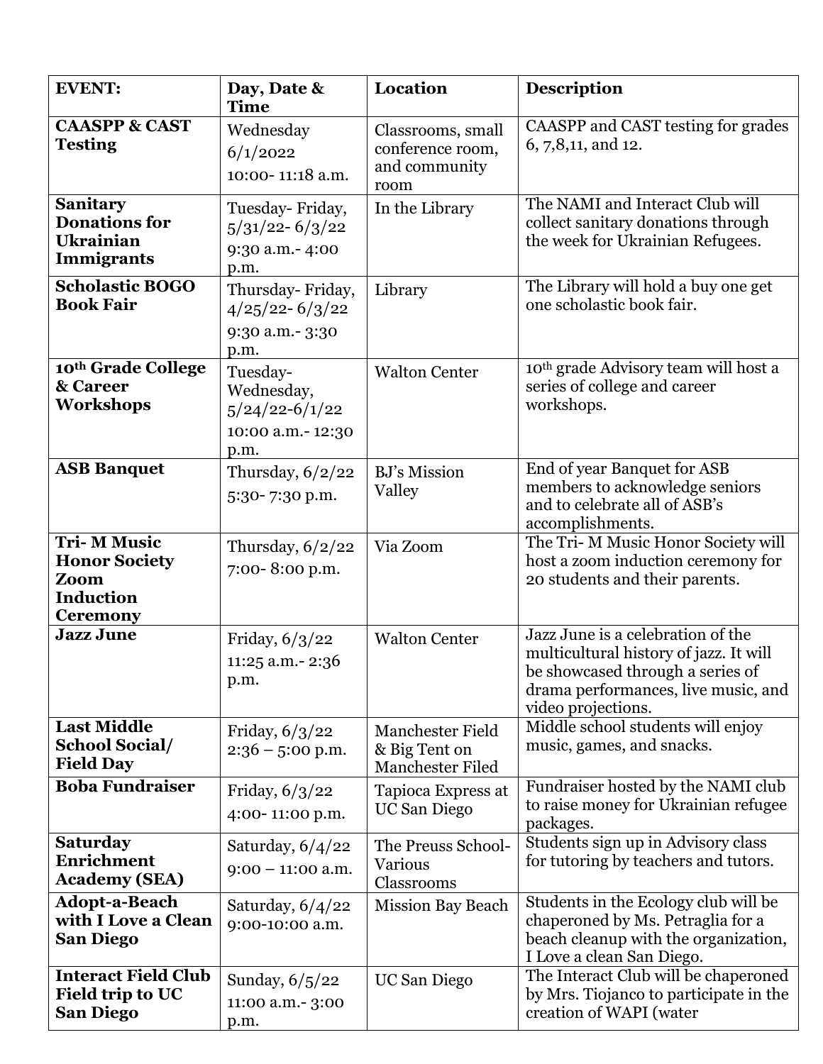| <b>EVENT:</b>                                                                              | Day, Date &<br><b>Time</b>                                               | <b>Location</b>                                                | <b>Description</b>                                                                                                                                                           |
|--------------------------------------------------------------------------------------------|--------------------------------------------------------------------------|----------------------------------------------------------------|------------------------------------------------------------------------------------------------------------------------------------------------------------------------------|
| <b>CAASPP &amp; CAST</b><br><b>Testing</b>                                                 | Wednesday<br>6/1/2022<br>10:00-11:18 a.m.                                | Classrooms, small<br>conference room,<br>and community<br>room | CAASPP and CAST testing for grades<br>6, 7,8,11, and 12.                                                                                                                     |
| <b>Sanitary</b><br><b>Donations for</b><br><b>Ukrainian</b><br><b>Immigrants</b>           | Tuesday-Friday,<br>$5/31/22 - 6/3/22$<br>9:30 a.m. - 4:00<br>p.m.        | In the Library                                                 | The NAMI and Interact Club will<br>collect sanitary donations through<br>the week for Ukrainian Refugees.                                                                    |
| <b>Scholastic BOGO</b><br><b>Book Fair</b>                                                 | Thursday-Friday,<br>$4/25/22 - 6/3/22$<br>9:30 a.m.- 3:30<br>p.m.        | Library                                                        | The Library will hold a buy one get<br>one scholastic book fair.                                                                                                             |
| 10th Grade College<br>& Career<br>Workshops                                                | Tuesday-<br>Wednesday,<br>$5/24/22 - 6/1/22$<br>10:00 a.m.-12:30<br>p.m. | <b>Walton Center</b>                                           | 10 <sup>th</sup> grade Advisory team will host a<br>series of college and career<br>workshops.                                                                               |
| <b>ASB Banquet</b>                                                                         | Thursday, $6/2/22$<br>5:30-7:30 p.m.                                     | <b>BJ's Mission</b><br>Valley                                  | End of year Banquet for ASB<br>members to acknowledge seniors<br>and to celebrate all of ASB's<br>accomplishments.                                                           |
| <b>Tri-MM Music</b><br><b>Honor Society</b><br>Zoom<br><b>Induction</b><br><b>Ceremony</b> | Thursday, $6/2/22$<br>7:00-8:00 p.m.                                     | Via Zoom                                                       | The Tri-M Music Honor Society will<br>host a zoom induction ceremony for<br>20 students and their parents.                                                                   |
| <b>Jazz June</b>                                                                           | Friday, 6/3/22<br>11:25 a.m.-2:36<br>p.m.                                | <b>Walton Center</b>                                           | Jazz June is a celebration of the<br>multicultural history of jazz. It will<br>be showcased through a series of<br>drama performances, live music, and<br>video projections. |
| <b>Last Middle</b><br><b>School Social/</b><br><b>Field Day</b>                            | Friday, $6/3/22$<br>$2:36 - 5:00$ p.m.                                   | <b>Manchester Field</b><br>& Big Tent on<br>Manchester Filed   | Middle school students will enjoy<br>music, games, and snacks.                                                                                                               |
| <b>Boba Fundraiser</b>                                                                     | Friday, $6/3/22$<br>4:00-11:00 p.m.                                      | Tapioca Express at<br>UC San Diego                             | Fundraiser hosted by the NAMI club<br>to raise money for Ukrainian refugee<br>packages.                                                                                      |
| <b>Saturday</b><br>Enrichment<br><b>Academy (SEA)</b>                                      | Saturday, $6/4/22$<br>$9:00 - 11:00$ a.m.                                | The Preuss School-<br><b>Various</b><br>Classrooms             | Students sign up in Advisory class<br>for tutoring by teachers and tutors.                                                                                                   |
| <b>Adopt-a-Beach</b><br>with I Love a Clean<br><b>San Diego</b>                            | Saturday, 6/4/22<br>9:00-10:00 a.m.                                      | Mission Bay Beach                                              | Students in the Ecology club will be<br>chaperoned by Ms. Petraglia for a<br>beach cleanup with the organization,<br>I Love a clean San Diego.                               |
| <b>Interact Field Club</b><br><b>Field trip to UC</b><br><b>San Diego</b>                  | Sunday, 6/5/22<br>11:00 a.m.- 3:00<br>p.m.                               | UC San Diego                                                   | The Interact Club will be chaperoned<br>by Mrs. Tiojanco to participate in the<br>creation of WAPI (water                                                                    |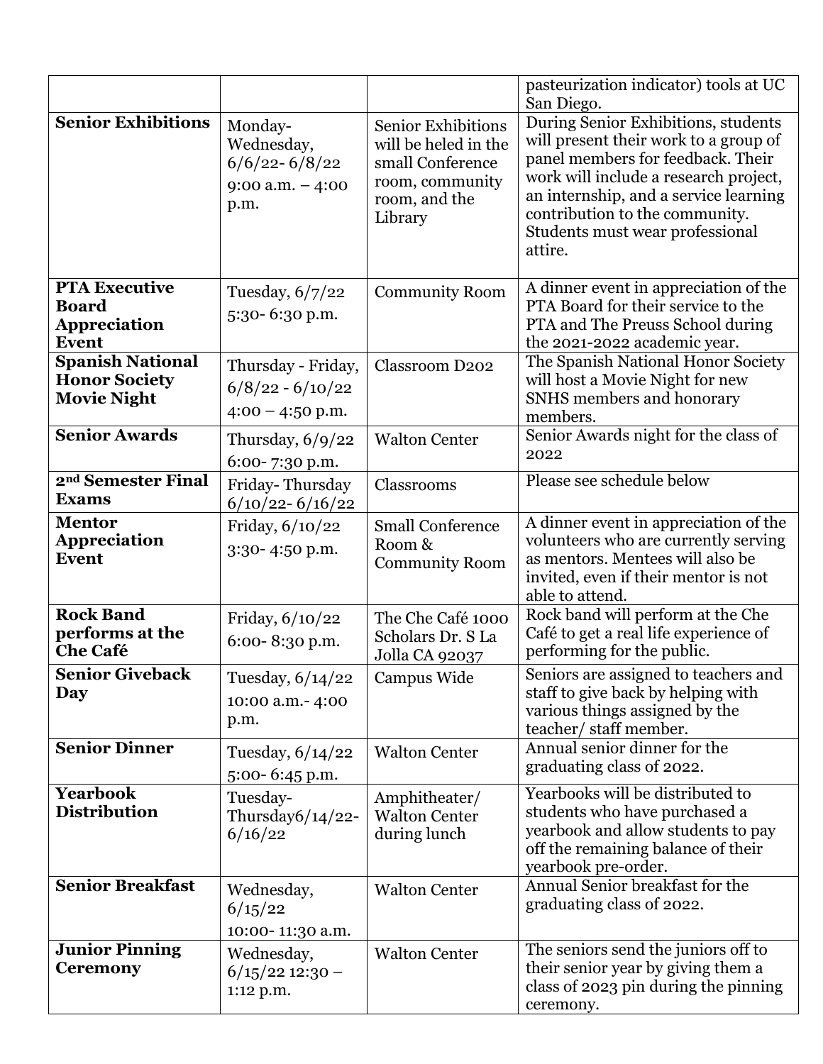|                                                                             |                                                                           |                                                                                                                      | pasteurization indicator) tools at UC<br>San Diego.                                                                                                                                                                                                                                 |
|-----------------------------------------------------------------------------|---------------------------------------------------------------------------|----------------------------------------------------------------------------------------------------------------------|-------------------------------------------------------------------------------------------------------------------------------------------------------------------------------------------------------------------------------------------------------------------------------------|
| <b>Senior Exhibitions</b>                                                   | Monday-<br>Wednesday,<br>$6/6/22 - 6/8/22$<br>$9:00$ a.m. $-4:00$<br>p.m. | <b>Senior Exhibitions</b><br>will be heled in the<br>small Conference<br>room, community<br>room, and the<br>Library | During Senior Exhibitions, students<br>will present their work to a group of<br>panel members for feedback. Their<br>work will include a research project,<br>an internship, and a service learning<br>contribution to the community.<br>Students must wear professional<br>attire. |
| <b>PTA Executive</b><br><b>Board</b><br><b>Appreciation</b><br><b>Event</b> | Tuesday, $6/7/22$<br>5:30-6:30 p.m.                                       | <b>Community Room</b>                                                                                                | A dinner event in appreciation of the<br>PTA Board for their service to the<br>PTA and The Preuss School during<br>the 2021-2022 academic year.                                                                                                                                     |
| <b>Spanish National</b><br><b>Honor Society</b><br><b>Movie Night</b>       | Thursday - Friday,<br>$6/8/22 - 6/10/22$<br>$4:00 - 4:50$ p.m.            | <b>Classroom D202</b>                                                                                                | The Spanish National Honor Society<br>will host a Movie Night for new<br>SNHS members and honorary<br>members.                                                                                                                                                                      |
| <b>Senior Awards</b>                                                        | Thursday, $6/9/22$<br>6:00-7:30 p.m.                                      | <b>Walton Center</b>                                                                                                 | Senior Awards night for the class of<br>2022                                                                                                                                                                                                                                        |
| 2 <sup>nd</sup> Semester Final<br><b>Exams</b>                              | Friday-Thursday<br>$6/10/22 - 6/16/22$                                    | Classrooms                                                                                                           | Please see schedule below                                                                                                                                                                                                                                                           |
| <b>Mentor</b><br><b>Appreciation</b><br><b>Event</b>                        | Friday, 6/10/22<br>3:30-4:50 p.m.                                         | <b>Small Conference</b><br>Room &<br><b>Community Room</b>                                                           | A dinner event in appreciation of the<br>volunteers who are currently serving<br>as mentors. Mentees will also be<br>invited, even if their mentor is not<br>able to attend.                                                                                                        |
| <b>Rock Band</b><br>performs at the<br><b>Che Café</b>                      | Friday, 6/10/22<br>6:00-8:30 p.m.                                         | The Che Café 1000<br>Scholars Dr. S La<br>Jolla CA 92037                                                             | Rock band will perform at the Che<br>Café to get a real life experience of<br>performing for the public.                                                                                                                                                                            |
| <b>Senior Giveback</b><br>Day                                               | Tuesday, 6/14/22<br>10:00 a.m.- 4:00<br>p.m.                              | Campus Wide                                                                                                          | Seniors are assigned to teachers and<br>staff to give back by helping with<br>various things assigned by the<br>teacher/staff member.                                                                                                                                               |
| <b>Senior Dinner</b>                                                        | Tuesday, $6/14/22$<br>5:00-6:45 p.m.                                      | <b>Walton Center</b>                                                                                                 | Annual senior dinner for the<br>graduating class of 2022.                                                                                                                                                                                                                           |
| <b>Yearbook</b><br><b>Distribution</b>                                      | Tuesday-<br>Thursday6/14/22-<br>6/16/22                                   | Amphitheater/<br><b>Walton Center</b><br>during lunch                                                                | Yearbooks will be distributed to<br>students who have purchased a<br>yearbook and allow students to pay<br>off the remaining balance of their<br>yearbook pre-order.                                                                                                                |
| <b>Senior Breakfast</b>                                                     | Wednesday,<br>6/15/22<br>10:00-11:30 a.m.                                 | <b>Walton Center</b>                                                                                                 | Annual Senior breakfast for the<br>graduating class of 2022.                                                                                                                                                                                                                        |
| <b>Junior Pinning</b><br><b>Ceremony</b>                                    | Wednesday,<br>$6/15/22$ 12:30 -<br>1:12 p.m.                              | <b>Walton Center</b>                                                                                                 | The seniors send the juniors off to<br>their senior year by giving them a<br>class of 2023 pin during the pinning<br>ceremony.                                                                                                                                                      |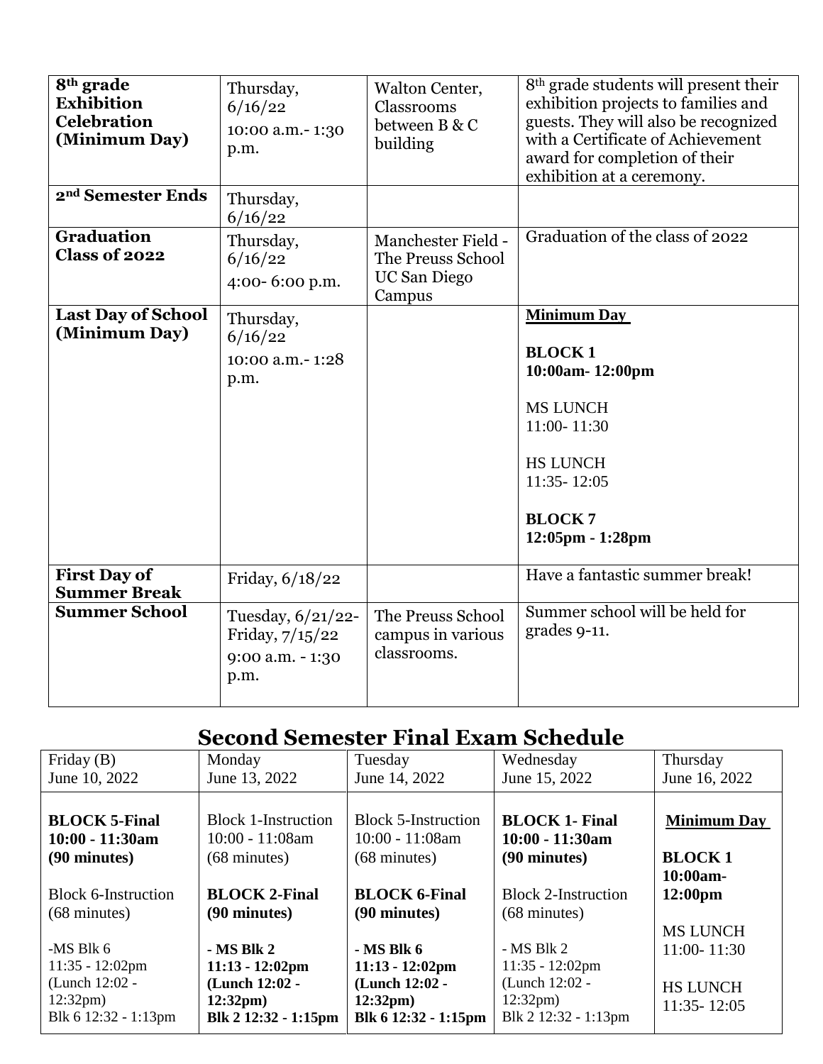| 8 <sup>th</sup> grade<br><b>Exhibition</b><br><b>Celebration</b><br>(Minimum Day) | Thursday,<br>6/16/22<br>10:00 a.m.-1:30<br>p.m.                    | Walton Center,<br>Classrooms<br>between B & C<br>building                | 8 <sup>th</sup> grade students will present their<br>exhibition projects to families and<br>guests. They will also be recognized<br>with a Certificate of Achievement<br>award for completion of their<br>exhibition at a ceremony. |
|-----------------------------------------------------------------------------------|--------------------------------------------------------------------|--------------------------------------------------------------------------|-------------------------------------------------------------------------------------------------------------------------------------------------------------------------------------------------------------------------------------|
| 2 <sup>nd</sup> Semester Ends                                                     | Thursday,<br>6/16/22                                               |                                                                          |                                                                                                                                                                                                                                     |
| <b>Graduation</b><br><b>Class of 2022</b>                                         | Thursday,<br>6/16/22<br>4:00-6:00 p.m.                             | <b>Manchester Field -</b><br>The Preuss School<br>UC San Diego<br>Campus | Graduation of the class of 2022                                                                                                                                                                                                     |
| <b>Last Day of School</b><br>(Minimum Day)                                        | Thursday,<br>6/16/22<br>10:00 a.m. - 1:28<br>p.m.                  |                                                                          | <b>Minimum Day</b><br><b>BLOCK1</b><br>10:00am-12:00pm<br><b>MS LUNCH</b><br>11:00-11:30<br><b>HS LUNCH</b><br>11:35 - 12:05<br><b>BLOCK7</b><br>12:05pm - 1:28pm                                                                   |
| <b>First Day of</b><br><b>Summer Break</b>                                        | Friday, 6/18/22                                                    |                                                                          | Have a fantastic summer break!                                                                                                                                                                                                      |
| <b>Summer School</b>                                                              | Tuesday, 6/21/22-<br>Friday, $7/15/22$<br>9:00 a.m. - 1:30<br>p.m. | The Preuss School<br>campus in various<br>classrooms.                    | Summer school will be held for<br>grades 9-11.                                                                                                                                                                                      |

## **Second Semester Final Exam Schedule**

| Friday $(B)$                                                                                              | Monday                                                                                          | Tuesday                                                                                         | Wednesday                                                                                                | Thursday                                              |
|-----------------------------------------------------------------------------------------------------------|-------------------------------------------------------------------------------------------------|-------------------------------------------------------------------------------------------------|----------------------------------------------------------------------------------------------------------|-------------------------------------------------------|
| June 10, 2022                                                                                             | June 13, 2022                                                                                   | June 14, 2022                                                                                   | June 15, 2022                                                                                            | June 16, 2022                                         |
| <b>BLOCK 5-Final</b>                                                                                      | <b>Block 1-Instruction</b>                                                                      | <b>Block 5-Instruction</b>                                                                      | <b>BLOCK 1- Final</b>                                                                                    | <b>Minimum Day</b>                                    |
| $10:00 - 11:30am$                                                                                         | $10:00 - 11:08$ am                                                                              | $10:00 - 11:08$ am                                                                              | $10:00 - 11:30am$                                                                                        | <b>BLOCK1</b>                                         |
| (90 minutes)                                                                                              | $(68 \text{ minutes})$                                                                          | $(68 \text{ minutes})$                                                                          | $(90 \text{ minutes})$                                                                                   | 10:00am-                                              |
| <b>Block 6-Instruction</b>                                                                                | <b>BLOCK 2-Final</b>                                                                            | <b>BLOCK 6-Final</b>                                                                            | <b>Block 2-Instruction</b>                                                                               | 12:00 <sub>pm</sub>                                   |
| $(68 \text{ minutes})$                                                                                    | (90 minutes)                                                                                    | (90 minutes)                                                                                    | $(68 \text{ minutes})$                                                                                   | <b>MS LUNCH</b>                                       |
| -MS Blk $6$<br>$11:35 - 12:02 \text{pm}$<br>(Lunch 12:02 -<br>$12:32 \text{pm}$ )<br>Blk 6 12:32 - 1:13pm | - MS Blk 2<br>$11:13 - 12:02$ pm<br>(Lunch 12:02 -<br>$12:32 \text{pm}$<br>Blk 2 12:32 - 1:15pm | - MS Blk 6<br>$11:13 - 12:02$ pm<br>(Lunch 12:02 -<br>$12:32 \text{pm}$<br>Blk 6 12:32 - 1:15pm | $- MS Blk 2$<br>$11:35 - 12:02 \text{pm}$<br>(Lunch 12:02 -<br>$12:32 \text{pm}$<br>Blk 2 12:32 - 1:13pm | $11:00 - 11:30$<br><b>HS LUNCH</b><br>$11:35 - 12:05$ |